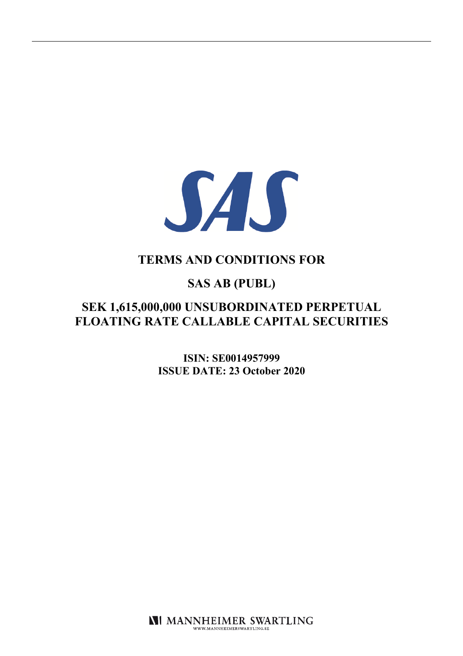

# **TERMS AND CONDITIONS FOR**

# **SAS AB (PUBL)**

# **SEK 1,615,000,000 UNSUBORDINATED PERPETUAL FLOATING RATE CALLABLE CAPITAL SECURITIES**

**ISIN: SE0014957999 ISSUE DATE: 23 October 2020**

**NI MANNHEIMER SWARTLING** WWW.MANNHEIMERSWARTLING.SE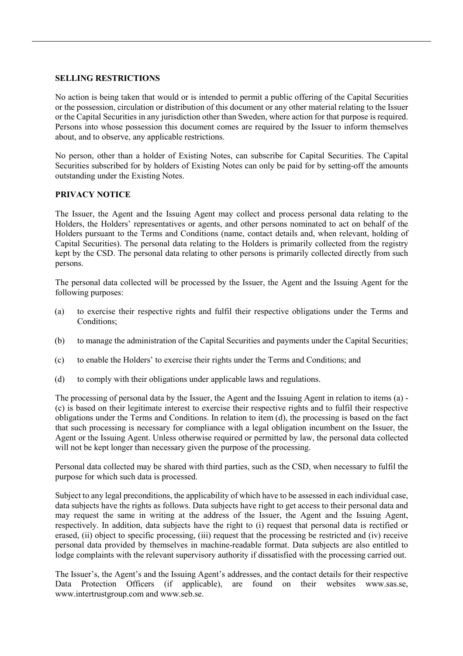## **SELLING RESTRICTIONS**

No action is being taken that would or is intended to permit a public offering of the Capital Securities or the possession, circulation or distribution of this document or any other material relating to the Issuer or the Capital Securities in any jurisdiction other than Sweden, where action for that purpose is required. Persons into whose possession this document comes are required by the Issuer to inform themselves about, and to observe, any applicable restrictions.

No person, other than a holder of Existing Notes, can subscribe for Capital Securities. The Capital Securities subscribed for by holders of Existing Notes can only be paid for by setting-off the amounts outstanding under the Existing Notes.

# **PRIVACY NOTICE**

The Issuer, the Agent and the Issuing Agent may collect and process personal data relating to the Holders, the Holders' representatives or agents, and other persons nominated to act on behalf of the Holders pursuant to the Terms and Conditions (name, contact details and, when relevant, holding of Capital Securities). The personal data relating to the Holders is primarily collected from the registry kept by the CSD. The personal data relating to other persons is primarily collected directly from such persons.

The personal data collected will be processed by the Issuer, the Agent and the Issuing Agent for the following purposes:

- (a) to exercise their respective rights and fulfil their respective obligations under the Terms and Conditions;
- (b) to manage the administration of the Capital Securities and payments under the Capital Securities;
- (c) to enable the Holders' to exercise their rights under the Terms and Conditions; and
- (d) to comply with their obligations under applicable laws and regulations.

The processing of personal data by the Issuer, the Agent and the Issuing Agent in relation to items (a) - (c) is based on their legitimate interest to exercise their respective rights and to fulfil their respective obligations under the Terms and Conditions. In relation to item (d), the processing is based on the fact that such processing is necessary for compliance with a legal obligation incumbent on the Issuer, the Agent or the Issuing Agent. Unless otherwise required or permitted by law, the personal data collected will not be kept longer than necessary given the purpose of the processing.

Personal data collected may be shared with third parties, such as the CSD, when necessary to fulfil the purpose for which such data is processed.

Subject to any legal preconditions, the applicability of which have to be assessed in each individual case, data subjects have the rights as follows. Data subjects have right to get access to their personal data and may request the same in writing at the address of the Issuer, the Agent and the Issuing Agent, respectively. In addition, data subjects have the right to (i) request that personal data is rectified or erased, (ii) object to specific processing, (iii) request that the processing be restricted and (iv) receive personal data provided by themselves in machine-readable format. Data subjects are also entitled to lodge complaints with the relevant supervisory authority if dissatisfied with the processing carried out.

The Issuer's, the Agent's and the Issuing Agent's addresses, and the contact details for their respective Data Protection Officers (if applicable), are found on their websites www.sas.se, www.intertrustgroup.com and www.seb.se.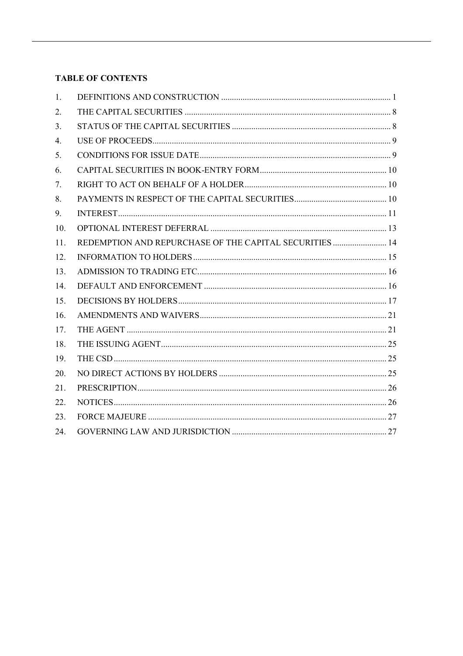# **TABLE OF CONTENTS**

| 1.  |                                                         |  |
|-----|---------------------------------------------------------|--|
| 2.  |                                                         |  |
| 3.  |                                                         |  |
| 4.  |                                                         |  |
| 5.  |                                                         |  |
| 6.  |                                                         |  |
| 7.  |                                                         |  |
| 8.  |                                                         |  |
| 9.  |                                                         |  |
| 10. |                                                         |  |
| 11. | REDEMPTION AND REPURCHASE OF THE CAPITAL SECURITIES  14 |  |
| 12. |                                                         |  |
| 13. |                                                         |  |
| 14. |                                                         |  |
| 15. |                                                         |  |
| 16. |                                                         |  |
| 17. |                                                         |  |
| 18. |                                                         |  |
| 19. |                                                         |  |
| 20. |                                                         |  |
| 21. |                                                         |  |
| 22. |                                                         |  |
| 23. |                                                         |  |
| 24. |                                                         |  |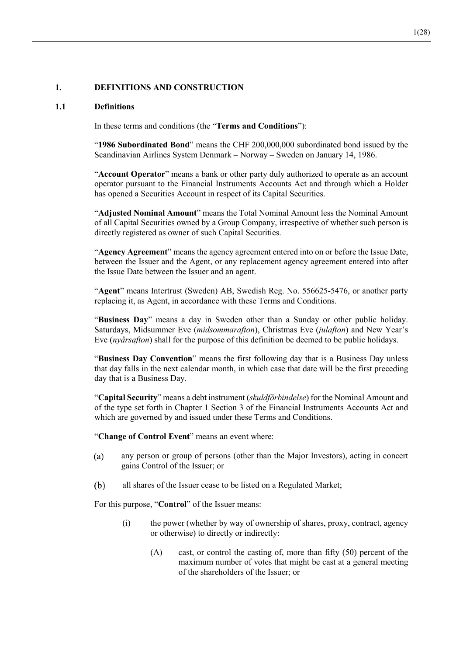# **1. DEFINITIONS AND CONSTRUCTION**

#### **1.1 Definitions**

In these terms and conditions (the "**Terms and Conditions**"):

"**1986 Subordinated Bond**" means the CHF 200,000,000 subordinated bond issued by the Scandinavian Airlines System Denmark – Norway – Sweden on January 14, 1986.

"**Account Operator**" means a bank or other party duly authorized to operate as an account operator pursuant to the Financial Instruments Accounts Act and through which a Holder has opened a Securities Account in respect of its Capital Securities.

"**Adjusted Nominal Amount**" means the Total Nominal Amount less the Nominal Amount of all Capital Securities owned by a Group Company, irrespective of whether such person is directly registered as owner of such Capital Securities.

"**Agency Agreement**" means the agency agreement entered into on or before the Issue Date, between the Issuer and the Agent, or any replacement agency agreement entered into after the Issue Date between the Issuer and an agent.

"**Agent**" means Intertrust (Sweden) AB, Swedish Reg. No. 556625-5476, or another party replacing it, as Agent, in accordance with these Terms and Conditions.

"**Business Day**" means a day in Sweden other than a Sunday or other public holiday. Saturdays, Midsummer Eve (*midsommarafton*), Christmas Eve (*julafton*) and New Year's Eve (*nyårsafton*) shall for the purpose of this definition be deemed to be public holidays.

"**Business Day Convention**" means the first following day that is a Business Day unless that day falls in the next calendar month, in which case that date will be the first preceding day that is a Business Day.

"**Capital Security**" means a debt instrument (*skuldförbindelse*) for the Nominal Amount and of the type set forth in Chapter 1 Section 3 of the Financial Instruments Accounts Act and which are governed by and issued under these Terms and Conditions.

"**Change of Control Event**" means an event where:

- $(a)$ any person or group of persons (other than the Major Investors), acting in concert gains Control of the Issuer; or
- (b) all shares of the Issuer cease to be listed on a Regulated Market;

For this purpose, "**Control**" of the Issuer means:

- (i) the power (whether by way of ownership of shares, proxy, contract, agency or otherwise) to directly or indirectly:
	- (A) cast, or control the casting of, more than fifty (50) percent of the maximum number of votes that might be cast at a general meeting of the shareholders of the Issuer; or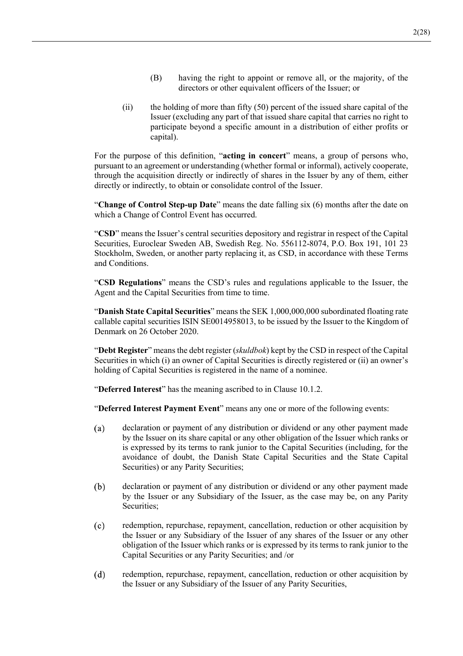- (B) having the right to appoint or remove all, or the majority, of the directors or other equivalent officers of the Issuer; or
- (ii) the holding of more than fifty (50) percent of the issued share capital of the Issuer (excluding any part of that issued share capital that carries no right to participate beyond a specific amount in a distribution of either profits or capital).

For the purpose of this definition, "**acting in concert**" means, a group of persons who, pursuant to an agreement or understanding (whether formal or informal), actively cooperate, through the acquisition directly or indirectly of shares in the Issuer by any of them, either directly or indirectly, to obtain or consolidate control of the Issuer.

"**Change of Control Step-up Date**" means the date falling six (6) months after the date on which a Change of Control Event has occurred.

"**CSD**" means the Issuer's central securities depository and registrar in respect of the Capital Securities, Euroclear Sweden AB, Swedish Reg. No. 556112-8074, P.O. Box 191, 101 23 Stockholm, Sweden, or another party replacing it, as CSD, in accordance with these Terms and Conditions.

"**CSD Regulations**" means the CSD's rules and regulations applicable to the Issuer, the Agent and the Capital Securities from time to time.

"**Danish State Capital Securities**" means the SEK 1,000,000,000 subordinated floating rate callable capital securities ISIN SE0014958013, to be issued by the Issuer to the Kingdom of Denmark on 26 October 2020.

"**Debt Register**" means the debt register (*skuldbok*) kept by the CSD in respect of the Capital Securities in which (i) an owner of Capital Securities is directly registered or (ii) an owner's holding of Capital Securities is registered in the name of a nominee.

"**Deferred Interest**" has the meaning ascribed to in Clause 10.1.2.

"**Deferred Interest Payment Event**" means any one or more of the following events:

- declaration or payment of any distribution or dividend or any other payment made  $(a)$ by the Issuer on its share capital or any other obligation of the Issuer which ranks or is expressed by its terms to rank junior to the Capital Securities (including, for the avoidance of doubt, the Danish State Capital Securities and the State Capital Securities) or any Parity Securities;
- (b) declaration or payment of any distribution or dividend or any other payment made by the Issuer or any Subsidiary of the Issuer, as the case may be, on any Parity Securities;
- $(c)$ redemption, repurchase, repayment, cancellation, reduction or other acquisition by the Issuer or any Subsidiary of the Issuer of any shares of the Issuer or any other obligation of the Issuer which ranks or is expressed by its terms to rank junior to the Capital Securities or any Parity Securities; and /or
- $(d)$ redemption, repurchase, repayment, cancellation, reduction or other acquisition by the Issuer or any Subsidiary of the Issuer of any Parity Securities,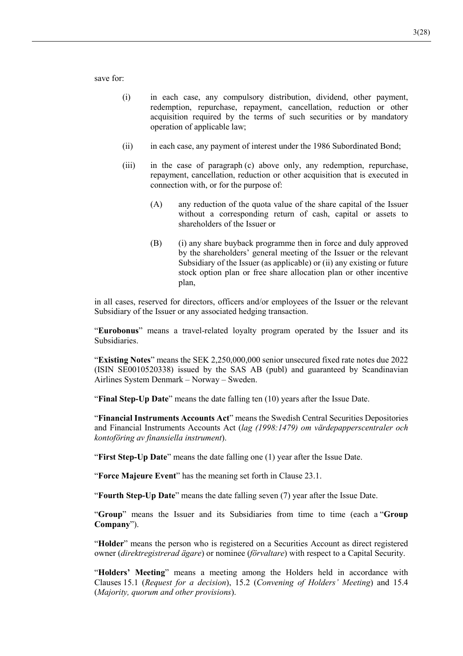save for:

- (i) in each case, any compulsory distribution, dividend, other payment, redemption, repurchase, repayment, cancellation, reduction or other acquisition required by the terms of such securities or by mandatory operation of applicable law;
- (ii) in each case, any payment of interest under the 1986 Subordinated Bond;
- (iii) in the case of paragraph (c) above only, any redemption, repurchase, repayment, cancellation, reduction or other acquisition that is executed in connection with, or for the purpose of:
	- (A) any reduction of the quota value of the share capital of the Issuer without a corresponding return of cash, capital or assets to shareholders of the Issuer or
	- (B) (i) any share buyback programme then in force and duly approved by the shareholders' general meeting of the Issuer or the relevant Subsidiary of the Issuer (as applicable) or (ii) any existing or future stock option plan or free share allocation plan or other incentive plan,

in all cases, reserved for directors, officers and/or employees of the Issuer or the relevant Subsidiary of the Issuer or any associated hedging transaction.

"**Eurobonus**" means a travel-related loyalty program operated by the Issuer and its Subsidiaries.

"**Existing Notes**" means the SEK 2,250,000,000 senior unsecured fixed rate notes due 2022 (ISIN SE0010520338) issued by the SAS AB (publ) and guaranteed by Scandinavian Airlines System Denmark – Norway – Sweden.

"**Final Step-Up Date**" means the date falling ten (10) years after the Issue Date.

"**Financial Instruments Accounts Act**" means the Swedish Central Securities Depositories and Financial Instruments Accounts Act (*lag (1998:1479) om värdepapperscentraler och kontoföring av finansiella instrument*).

"**First Step-Up Date**" means the date falling one (1) year after the Issue Date.

"**Force Majeure Event**" has the meaning set forth in Clause 23.1.

"**Fourth Step-Up Date**" means the date falling seven (7) year after the Issue Date.

"**Group**" means the Issuer and its Subsidiaries from time to time (each a "**Group Company**").

"**Holder**" means the person who is registered on a Securities Account as direct registered owner (*direktregistrerad ägare*) or nominee (*förvaltare*) with respect to a Capital Security.

"**Holders' Meeting**" means a meeting among the Holders held in accordance with Clauses 15.1 (*Request for a decision*), 15.2 (*Convening of Holders' Meeting*) and 15.4 (*Majority, quorum and other provisions*).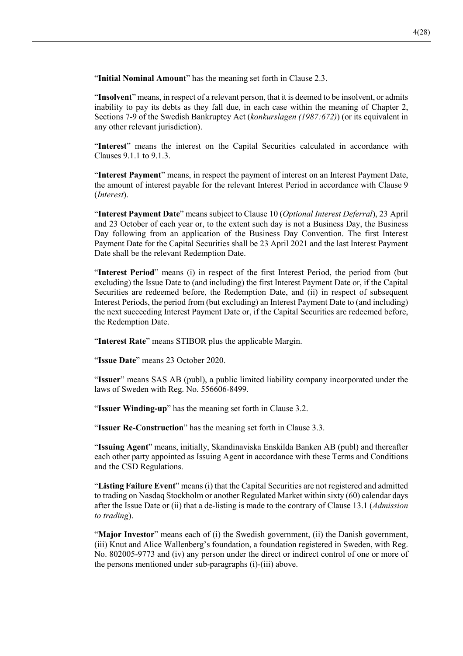"**Initial Nominal Amount**" has the meaning set forth in Clause 2.3.

"**Insolvent**" means, in respect of a relevant person, that it is deemed to be insolvent, or admits inability to pay its debts as they fall due, in each case within the meaning of Chapter 2, Sections 7-9 of the Swedish Bankruptcy Act (*konkurslagen (1987:672)*) (or its equivalent in any other relevant jurisdiction).

"**Interest**" means the interest on the Capital Securities calculated in accordance with Clauses 9.1.1 to 9.1.3.

"**Interest Payment**" means, in respect the payment of interest on an Interest Payment Date, the amount of interest payable for the relevant Interest Period in accordance with Clause 9 (*Interest*).

"**Interest Payment Date**" means subject to Clause 10 (*Optional Interest Deferral*), 23 April and 23 October of each year or, to the extent such day is not a Business Day, the Business Day following from an application of the Business Day Convention. The first Interest Payment Date for the Capital Securities shall be 23 April 2021 and the last Interest Payment Date shall be the relevant Redemption Date.

"**Interest Period**" means (i) in respect of the first Interest Period, the period from (but excluding) the Issue Date to (and including) the first Interest Payment Date or, if the Capital Securities are redeemed before, the Redemption Date, and (ii) in respect of subsequent Interest Periods, the period from (but excluding) an Interest Payment Date to (and including) the next succeeding Interest Payment Date or, if the Capital Securities are redeemed before, the Redemption Date.

"**Interest Rate**" means STIBOR plus the applicable Margin.

"**Issue Date**" means 23 October 2020.

"**Issuer**" means SAS AB (publ), a public limited liability company incorporated under the laws of Sweden with Reg. No. 556606-8499.

"**Issuer Winding-up**" has the meaning set forth in Clause 3.2.

"**Issuer Re-Construction**" has the meaning set forth in Clause 3.3.

"**Issuing Agent**" means, initially, Skandinaviska Enskilda Banken AB (publ) and thereafter each other party appointed as Issuing Agent in accordance with these Terms and Conditions and the CSD Regulations.

"**Listing Failure Event**" means (i) that the Capital Securities are not registered and admitted to trading on Nasdaq Stockholm or another Regulated Market within sixty (60) calendar days after the Issue Date or (ii) that a de-listing is made to the contrary of Clause 13.1 (*Admission to trading*).

"**Major Investor**" means each of (i) the Swedish government, (ii) the Danish government, (iii) Knut and Alice Wallenberg's foundation, a foundation registered in Sweden, with Reg. No. 802005-9773 and (iv) any person under the direct or indirect control of one or more of the persons mentioned under sub-paragraphs (i)-(iii) above.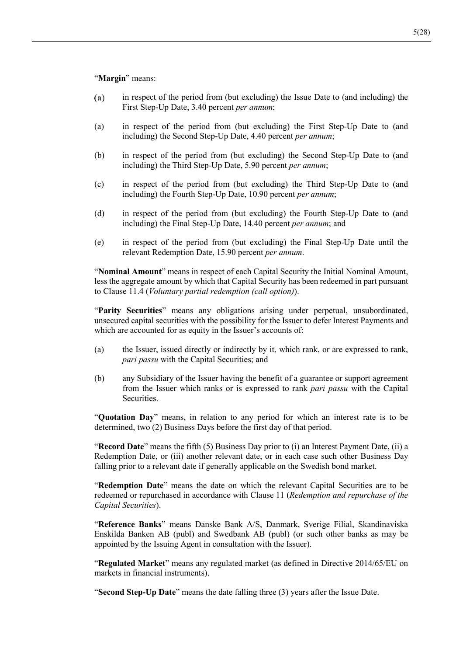#### "**Margin**" means:

- in respect of the period from (but excluding) the Issue Date to (and including) the  $(a)$ First Step-Up Date, 3.40 percent *per annum*;
- (a) in respect of the period from (but excluding) the First Step-Up Date to (and including) the Second Step-Up Date, 4.40 percent *per annum*;
- (b) in respect of the period from (but excluding) the Second Step-Up Date to (and including) the Third Step-Up Date, 5.90 percent *per annum*;
- (c) in respect of the period from (but excluding) the Third Step-Up Date to (and including) the Fourth Step-Up Date, 10.90 percent *per annum*;
- (d) in respect of the period from (but excluding) the Fourth Step-Up Date to (and including) the Final Step-Up Date, 14.40 percent *per annum*; and
- (e) in respect of the period from (but excluding) the Final Step-Up Date until the relevant Redemption Date, 15.90 percent *per annum*.

"**Nominal Amount**" means in respect of each Capital Security the Initial Nominal Amount, less the aggregate amount by which that Capital Security has been redeemed in part pursuant to Clause 11.4 (*Voluntary partial redemption (call option)*).

"**Parity Securities**" means any obligations arising under perpetual, unsubordinated, unsecured capital securities with the possibility for the Issuer to defer Interest Payments and which are accounted for as equity in the Issuer's accounts of:

- (a) the Issuer, issued directly or indirectly by it, which rank, or are expressed to rank, *pari passu* with the Capital Securities; and
- (b) any Subsidiary of the Issuer having the benefit of a guarantee or support agreement from the Issuer which ranks or is expressed to rank *pari passu* with the Capital Securities.

"**Quotation Day**" means, in relation to any period for which an interest rate is to be determined, two (2) Business Days before the first day of that period.

"**Record Date**" means the fifth (5) Business Day prior to (i) an Interest Payment Date, (ii) a Redemption Date, or (iii) another relevant date, or in each case such other Business Day falling prior to a relevant date if generally applicable on the Swedish bond market.

"**Redemption Date**" means the date on which the relevant Capital Securities are to be redeemed or repurchased in accordance with Clause 11 (*Redemption and repurchase of the Capital Securities*).

"**Reference Banks**" means Danske Bank A/S, Danmark, Sverige Filial, Skandinaviska Enskilda Banken AB (publ) and Swedbank AB (publ) (or such other banks as may be appointed by the Issuing Agent in consultation with the Issuer).

"**Regulated Market**" means any regulated market (as defined in Directive 2014/65/EU on markets in financial instruments).

"**Second Step-Up Date**" means the date falling three (3) years after the Issue Date.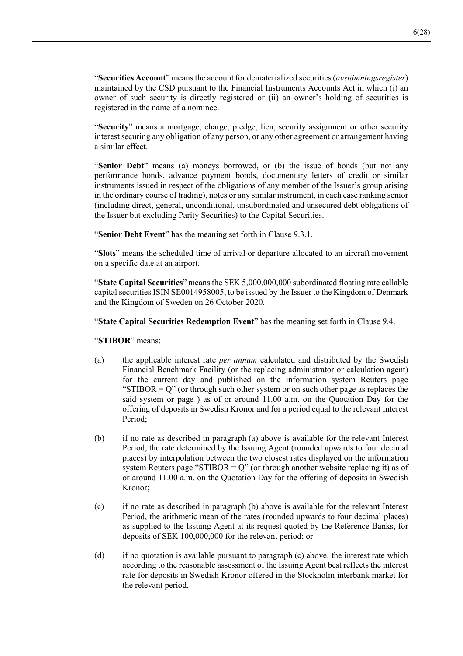"**Securities Account**" means the account for dematerialized securities (*avstämningsregister*) maintained by the CSD pursuant to the Financial Instruments Accounts Act in which (i) an owner of such security is directly registered or (ii) an owner's holding of securities is registered in the name of a nominee.

"**Security**" means a mortgage, charge, pledge, lien, security assignment or other security interest securing any obligation of any person, or any other agreement or arrangement having a similar effect.

"**Senior Debt**" means (a) moneys borrowed, or (b) the issue of bonds (but not any performance bonds, advance payment bonds, documentary letters of credit or similar instruments issued in respect of the obligations of any member of the Issuer's group arising in the ordinary course of trading), notes or any similar instrument, in each case ranking senior (including direct, general, unconditional, unsubordinated and unsecured debt obligations of the Issuer but excluding Parity Securities) to the Capital Securities.

"**Senior Debt Event**" has the meaning set forth in Clause 9.3.1.

"**Slots**" means the scheduled time of arrival or departure allocated to an aircraft movement on a specific date at an airport.

"**State Capital Securities**" means the SEK 5,000,000,000 subordinated floating rate callable capital securities ISIN SE0014958005, to be issued by the Issuer to the Kingdom of Denmark and the Kingdom of Sweden on 26 October 2020.

"**State Capital Securities Redemption Event**" has the meaning set forth in Clause 9.4.

"**STIBOR**" means:

- (a) the applicable interest rate *per annum* calculated and distributed by the Swedish Financial Benchmark Facility (or the replacing administrator or calculation agent) for the current day and published on the information system Reuters page "STIBOR  $= Q$ " (or through such other system or on such other page as replaces the said system or page ) as of or around 11.00 a.m. on the Quotation Day for the offering of deposits in Swedish Kronor and for a period equal to the relevant Interest Period;
- (b) if no rate as described in paragraph (a) above is available for the relevant Interest Period, the rate determined by the Issuing Agent (rounded upwards to four decimal places) by interpolation between the two closest rates displayed on the information system Reuters page "STIBOR =  $Q$ " (or through another website replacing it) as of or around 11.00 a.m. on the Quotation Day for the offering of deposits in Swedish Kronor;
- (c) if no rate as described in paragraph (b) above is available for the relevant Interest Period, the arithmetic mean of the rates (rounded upwards to four decimal places) as supplied to the Issuing Agent at its request quoted by the Reference Banks, for deposits of SEK 100,000,000 for the relevant period; or
- (d) if no quotation is available pursuant to paragraph (c) above, the interest rate which according to the reasonable assessment of the Issuing Agent best reflects the interest rate for deposits in Swedish Kronor offered in the Stockholm interbank market for the relevant period,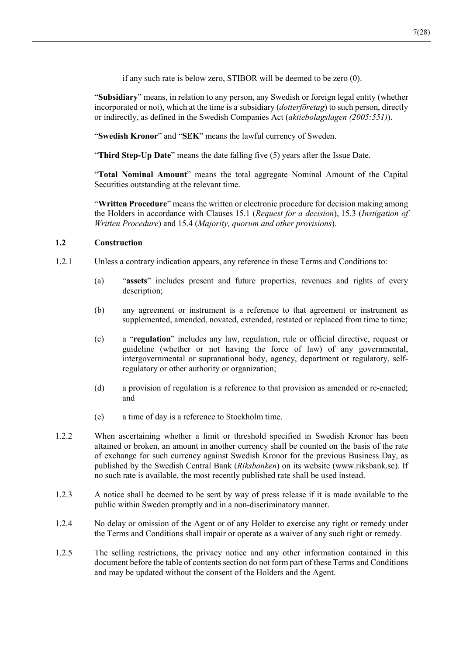if any such rate is below zero, STIBOR will be deemed to be zero (0).

"**Subsidiary**" means, in relation to any person, any Swedish or foreign legal entity (whether incorporated or not), which at the time is a subsidiary (*dotterföretag*) to such person, directly or indirectly, as defined in the Swedish Companies Act (*aktiebolagslagen (2005:551)*).

"**Swedish Kronor**" and "**SEK**" means the lawful currency of Sweden.

"**Third Step-Up Date**" means the date falling five (5) years after the Issue Date.

"**Total Nominal Amount**" means the total aggregate Nominal Amount of the Capital Securities outstanding at the relevant time.

"**Written Procedure**" means the written or electronic procedure for decision making among the Holders in accordance with Clauses 15.1 (*Request for a decision*), 15.3 (*Instigation of Written Procedure*) and 15.4 (*Majority, quorum and other provisions*).

# **1.2 Construction**

- 1.2.1 Unless a contrary indication appears, any reference in these Terms and Conditions to:
	- (a) "**assets**" includes present and future properties, revenues and rights of every description;
	- (b) any agreement or instrument is a reference to that agreement or instrument as supplemented, amended, novated, extended, restated or replaced from time to time;
	- (c) a "**regulation**" includes any law, regulation, rule or official directive, request or guideline (whether or not having the force of law) of any governmental, intergovernmental or supranational body, agency, department or regulatory, selfregulatory or other authority or organization;
	- (d) a provision of regulation is a reference to that provision as amended or re-enacted; and
	- (e) a time of day is a reference to Stockholm time.
- 1.2.2 When ascertaining whether a limit or threshold specified in Swedish Kronor has been attained or broken, an amount in another currency shall be counted on the basis of the rate of exchange for such currency against Swedish Kronor for the previous Business Day, as published by the Swedish Central Bank (*Riksbanken*) on its website (www.riksbank.se). If no such rate is available, the most recently published rate shall be used instead.
- 1.2.3 A notice shall be deemed to be sent by way of press release if it is made available to the public within Sweden promptly and in a non-discriminatory manner.
- 1.2.4 No delay or omission of the Agent or of any Holder to exercise any right or remedy under the Terms and Conditions shall impair or operate as a waiver of any such right or remedy.
- 1.2.5 The selling restrictions, the privacy notice and any other information contained in this document before the table of contents section do not form part of these Terms and Conditions and may be updated without the consent of the Holders and the Agent.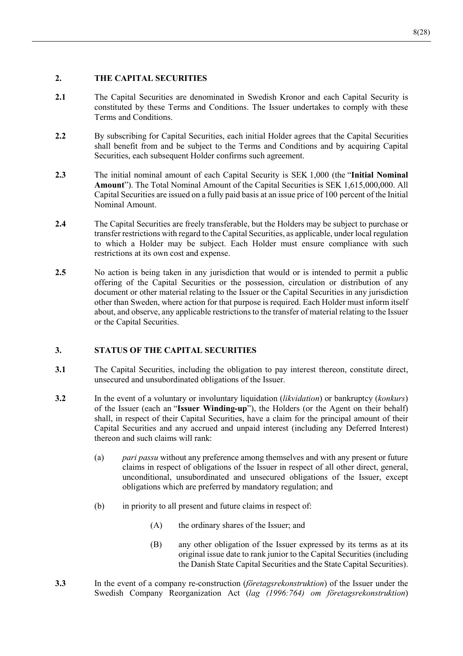# **2. THE CAPITAL SECURITIES**

- **2.1** The Capital Securities are denominated in Swedish Kronor and each Capital Security is constituted by these Terms and Conditions. The Issuer undertakes to comply with these Terms and Conditions.
- **2.2** By subscribing for Capital Securities, each initial Holder agrees that the Capital Securities shall benefit from and be subject to the Terms and Conditions and by acquiring Capital Securities, each subsequent Holder confirms such agreement.
- **2.3** The initial nominal amount of each Capital Security is SEK 1,000 (the "**Initial Nominal Amount**"). The Total Nominal Amount of the Capital Securities is SEK 1,615,000,000. All Capital Securities are issued on a fully paid basis at an issue price of 100 percent of the Initial Nominal Amount.
- **2.4** The Capital Securities are freely transferable, but the Holders may be subject to purchase or transfer restrictions with regard to the Capital Securities, as applicable, under local regulation to which a Holder may be subject. Each Holder must ensure compliance with such restrictions at its own cost and expense.
- **2.5** No action is being taken in any jurisdiction that would or is intended to permit a public offering of the Capital Securities or the possession, circulation or distribution of any document or other material relating to the Issuer or the Capital Securities in any jurisdiction other than Sweden, where action for that purpose is required. Each Holder must inform itself about, and observe, any applicable restrictions to the transfer of material relating to the Issuer or the Capital Securities.

## **3. STATUS OF THE CAPITAL SECURITIES**

- **3.1** The Capital Securities, including the obligation to pay interest thereon, constitute direct, unsecured and unsubordinated obligations of the Issuer.
- **3.2** In the event of a voluntary or involuntary liquidation (*likvidation*) or bankruptcy (*konkurs*) of the Issuer (each an "**Issuer Winding-up**"), the Holders (or the Agent on their behalf) shall, in respect of their Capital Securities, have a claim for the principal amount of their Capital Securities and any accrued and unpaid interest (including any Deferred Interest) thereon and such claims will rank:
	- (a) *pari passu* without any preference among themselves and with any present or future claims in respect of obligations of the Issuer in respect of all other direct, general, unconditional, unsubordinated and unsecured obligations of the Issuer, except obligations which are preferred by mandatory regulation; and
	- (b) in priority to all present and future claims in respect of:
		- (A) the ordinary shares of the Issuer; and
		- (B) any other obligation of the Issuer expressed by its terms as at its original issue date to rank junior to the Capital Securities (including the Danish State Capital Securities and the State Capital Securities).
- **3.3** In the event of a company re-construction (*företagsrekonstruktion*) of the Issuer under the Swedish Company Reorganization Act (*lag (1996:764) om företagsrekonstruktion*)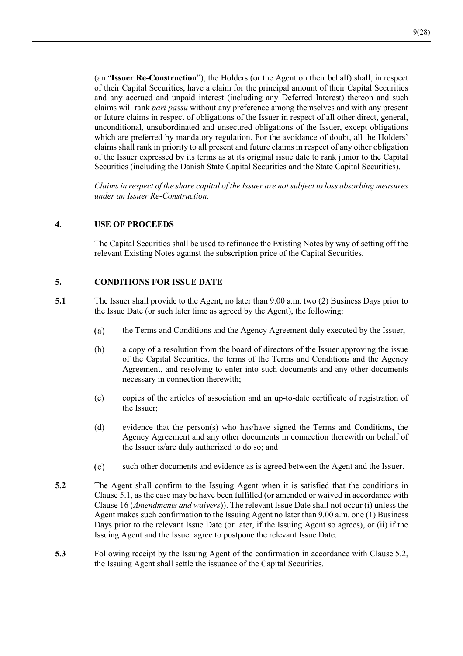(an "**Issuer Re-Construction**"), the Holders (or the Agent on their behalf) shall, in respect of their Capital Securities, have a claim for the principal amount of their Capital Securities and any accrued and unpaid interest (including any Deferred Interest) thereon and such claims will rank *pari passu* without any preference among themselves and with any present or future claims in respect of obligations of the Issuer in respect of all other direct, general, unconditional, unsubordinated and unsecured obligations of the Issuer, except obligations which are preferred by mandatory regulation. For the avoidance of doubt, all the Holders' claims shall rank in priority to all present and future claims in respect of any other obligation of the Issuer expressed by its terms as at its original issue date to rank junior to the Capital Securities (including the Danish State Capital Securities and the State Capital Securities).

*Claims in respect of the share capital of the Issuer are not subject to loss absorbing measures under an Issuer Re-Construction.* 

## **4. USE OF PROCEEDS**

The Capital Securities shall be used to refinance the Existing Notes by way of setting off the relevant Existing Notes against the subscription price of the Capital Securities.

## **5. CONDITIONS FOR ISSUE DATE**

- **5.1** The Issuer shall provide to the Agent, no later than 9.00 a.m. two (2) Business Days prior to the Issue Date (or such later time as agreed by the Agent), the following:
	- $(a)$ the Terms and Conditions and the Agency Agreement duly executed by the Issuer;
	- (b) a copy of a resolution from the board of directors of the Issuer approving the issue of the Capital Securities, the terms of the Terms and Conditions and the Agency Agreement, and resolving to enter into such documents and any other documents necessary in connection therewith;
	- (c) copies of the articles of association and an up-to-date certificate of registration of the Issuer;
	- (d) evidence that the person(s) who has/have signed the Terms and Conditions, the Agency Agreement and any other documents in connection therewith on behalf of the Issuer is/are duly authorized to do so; and
	- $(e)$ such other documents and evidence as is agreed between the Agent and the Issuer.
- **5.2** The Agent shall confirm to the Issuing Agent when it is satisfied that the conditions in Clause 5.1, as the case may be have been fulfilled (or amended or waived in accordance with Clause 16 (*Amendments and waivers*)). The relevant Issue Date shall not occur (i) unless the Agent makes such confirmation to the Issuing Agent no later than 9.00 a.m. one (1) Business Days prior to the relevant Issue Date (or later, if the Issuing Agent so agrees), or (ii) if the Issuing Agent and the Issuer agree to postpone the relevant Issue Date.
- **5.3** Following receipt by the Issuing Agent of the confirmation in accordance with Clause 5.2, the Issuing Agent shall settle the issuance of the Capital Securities.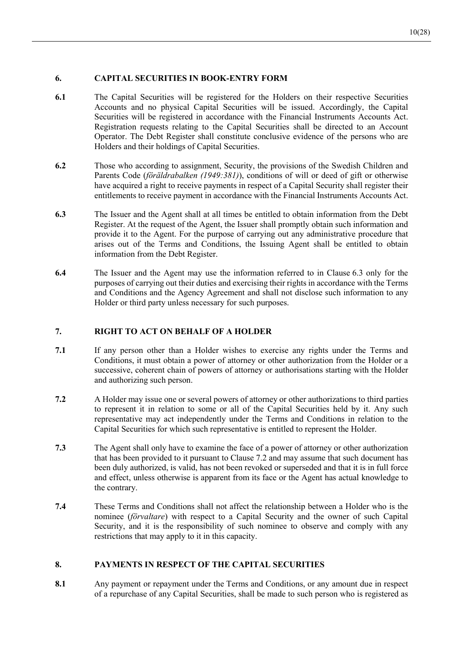# **6. CAPITAL SECURITIES IN BOOK-ENTRY FORM**

- **6.1** The Capital Securities will be registered for the Holders on their respective Securities Accounts and no physical Capital Securities will be issued. Accordingly, the Capital Securities will be registered in accordance with the Financial Instruments Accounts Act. Registration requests relating to the Capital Securities shall be directed to an Account Operator. The Debt Register shall constitute conclusive evidence of the persons who are Holders and their holdings of Capital Securities.
- **6.2** Those who according to assignment, Security, the provisions of the Swedish Children and Parents Code (*föräldrabalken (1949:381)*), conditions of will or deed of gift or otherwise have acquired a right to receive payments in respect of a Capital Security shall register their entitlements to receive payment in accordance with the Financial Instruments Accounts Act.
- **6.3** The Issuer and the Agent shall at all times be entitled to obtain information from the Debt Register. At the request of the Agent, the Issuer shall promptly obtain such information and provide it to the Agent. For the purpose of carrying out any administrative procedure that arises out of the Terms and Conditions, the Issuing Agent shall be entitled to obtain information from the Debt Register.
- **6.4** The Issuer and the Agent may use the information referred to in Clause 6.3 only for the purposes of carrying out their duties and exercising their rights in accordance with the Terms and Conditions and the Agency Agreement and shall not disclose such information to any Holder or third party unless necessary for such purposes.

## **7. RIGHT TO ACT ON BEHALF OF A HOLDER**

- **7.1** If any person other than a Holder wishes to exercise any rights under the Terms and Conditions, it must obtain a power of attorney or other authorization from the Holder or a successive, coherent chain of powers of attorney or authorisations starting with the Holder and authorizing such person.
- **7.2** A Holder may issue one or several powers of attorney or other authorizations to third parties to represent it in relation to some or all of the Capital Securities held by it. Any such representative may act independently under the Terms and Conditions in relation to the Capital Securities for which such representative is entitled to represent the Holder.
- **7.3** The Agent shall only have to examine the face of a power of attorney or other authorization that has been provided to it pursuant to Clause 7.2 and may assume that such document has been duly authorized, is valid, has not been revoked or superseded and that it is in full force and effect, unless otherwise is apparent from its face or the Agent has actual knowledge to the contrary.
- **7.4** These Terms and Conditions shall not affect the relationship between a Holder who is the nominee (*förvaltare*) with respect to a Capital Security and the owner of such Capital Security, and it is the responsibility of such nominee to observe and comply with any restrictions that may apply to it in this capacity.

# **8. PAYMENTS IN RESPECT OF THE CAPITAL SECURITIES**

**8.1** Any payment or repayment under the Terms and Conditions, or any amount due in respect of a repurchase of any Capital Securities, shall be made to such person who is registered as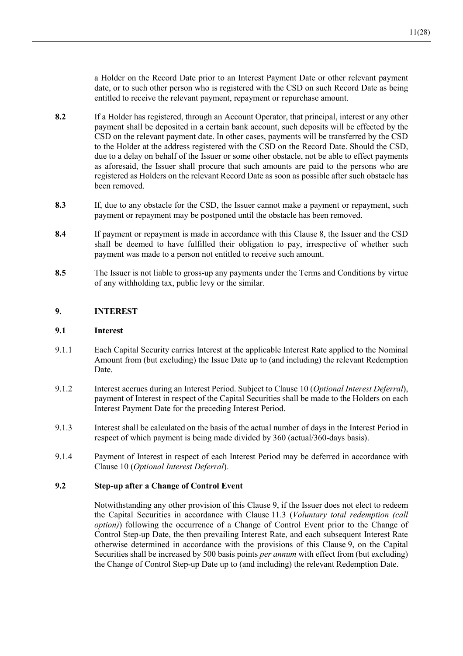a Holder on the Record Date prior to an Interest Payment Date or other relevant payment date, or to such other person who is registered with the CSD on such Record Date as being entitled to receive the relevant payment, repayment or repurchase amount.

- **8.2** If a Holder has registered, through an Account Operator, that principal, interest or any other payment shall be deposited in a certain bank account, such deposits will be effected by the CSD on the relevant payment date. In other cases, payments will be transferred by the CSD to the Holder at the address registered with the CSD on the Record Date. Should the CSD, due to a delay on behalf of the Issuer or some other obstacle, not be able to effect payments as aforesaid, the Issuer shall procure that such amounts are paid to the persons who are registered as Holders on the relevant Record Date as soon as possible after such obstacle has been removed.
- **8.3** If, due to any obstacle for the CSD, the Issuer cannot make a payment or repayment, such payment or repayment may be postponed until the obstacle has been removed.
- **8.4** If payment or repayment is made in accordance with this Clause 8, the Issuer and the CSD shall be deemed to have fulfilled their obligation to pay, irrespective of whether such payment was made to a person not entitled to receive such amount.
- **8.5** The Issuer is not liable to gross-up any payments under the Terms and Conditions by virtue of any withholding tax, public levy or the similar.

## **9. INTEREST**

## **9.1 Interest**

- 9.1.1 Each Capital Security carries Interest at the applicable Interest Rate applied to the Nominal Amount from (but excluding) the Issue Date up to (and including) the relevant Redemption Date.
- 9.1.2 Interest accrues during an Interest Period. Subject to Clause 10 (*Optional Interest Deferral*), payment of Interest in respect of the Capital Securities shall be made to the Holders on each Interest Payment Date for the preceding Interest Period.
- 9.1.3 Interest shall be calculated on the basis of the actual number of days in the Interest Period in respect of which payment is being made divided by 360 (actual/360-days basis).
- 9.1.4 Payment of Interest in respect of each Interest Period may be deferred in accordance with Clause 10 (*Optional Interest Deferral*).

## **9.2 Step-up after a Change of Control Event**

Notwithstanding any other provision of this Clause 9, if the Issuer does not elect to redeem the Capital Securities in accordance with Clause 11.3 (*Voluntary total redemption (call option)*) following the occurrence of a Change of Control Event prior to the Change of Control Step-up Date, the then prevailing Interest Rate, and each subsequent Interest Rate otherwise determined in accordance with the provisions of this Clause 9, on the Capital Securities shall be increased by 500 basis points *per annum* with effect from (but excluding) the Change of Control Step-up Date up to (and including) the relevant Redemption Date.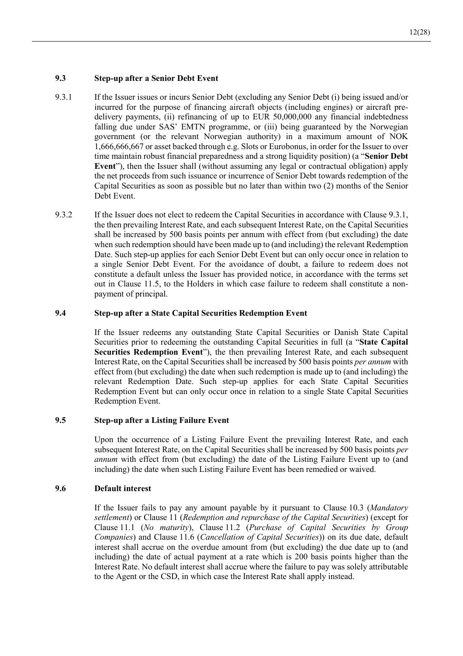## **9.3 Step-up after a Senior Debt Event**

- 9.3.1 If the Issuer issues or incurs Senior Debt (excluding any Senior Debt (i) being issued and/or incurred for the purpose of financing aircraft objects (including engines) or aircraft predelivery payments, (ii) refinancing of up to EUR 50,000,000 any financial indebtedness falling due under SAS' EMTN programme, or (iii) being guaranteed by the Norwegian government (or the relevant Norwegian authority) in a maximum amount of NOK 1,666,666,667 or asset backed through e.g. Slots or Eurobonus, in order for the Issuer to over time maintain robust financial preparedness and a strong liquidity position) (a "**Senior Debt Event**"), then the Issuer shall (without assuming any legal or contractual obligation) apply the net proceeds from such issuance or incurrence of Senior Debt towards redemption of the Capital Securities as soon as possible but no later than within two (2) months of the Senior Debt Event.
- 9.3.2 If the Issuer does not elect to redeem the Capital Securities in accordance with Clause 9.3.1, the then prevailing Interest Rate, and each subsequent Interest Rate, on the Capital Securities shall be increased by 500 basis points per annum with effect from (but excluding) the date when such redemption should have been made up to (and including) the relevant Redemption Date. Such step-up applies for each Senior Debt Event but can only occur once in relation to a single Senior Debt Event. For the avoidance of doubt, a failure to redeem does not constitute a default unless the Issuer has provided notice, in accordance with the terms set out in Clause 11.5, to the Holders in which case failure to redeem shall constitute a nonpayment of principal.

# **9.4 Step-up after a State Capital Securities Redemption Event**

If the Issuer redeems any outstanding State Capital Securities or Danish State Capital Securities prior to redeeming the outstanding Capital Securities in full (a "**State Capital Securities Redemption Event**"), the then prevailing Interest Rate, and each subsequent Interest Rate, on the Capital Securities shall be increased by 500 basis points *per annum* with effect from (but excluding) the date when such redemption is made up to (and including) the relevant Redemption Date. Such step-up applies for each State Capital Securities Redemption Event but can only occur once in relation to a single State Capital Securities Redemption Event.

## **9.5 Step-up after a Listing Failure Event**

Upon the occurrence of a Listing Failure Event the prevailing Interest Rate, and each subsequent Interest Rate, on the Capital Securities shall be increased by 500 basis points *per annum* with effect from (but excluding) the date of the Listing Failure Event up to (and including) the date when such Listing Failure Event has been remedied or waived.

## **9.6 Default interest**

If the Issuer fails to pay any amount payable by it pursuant to Clause 10.3 (*Mandatory settlement*) or Clause 11 (*Redemption and repurchase of the Capital Securities*) (except for Clause 11.1 (*No maturity*), Clause 11.2 (*Purchase of Capital Securities by Group Companies*) and Clause 11.6 (*Cancellation of Capital Securities*)) on its due date, default interest shall accrue on the overdue amount from (but excluding) the due date up to (and including) the date of actual payment at a rate which is 200 basis points higher than the Interest Rate. No default interest shall accrue where the failure to pay was solely attributable to the Agent or the CSD, in which case the Interest Rate shall apply instead.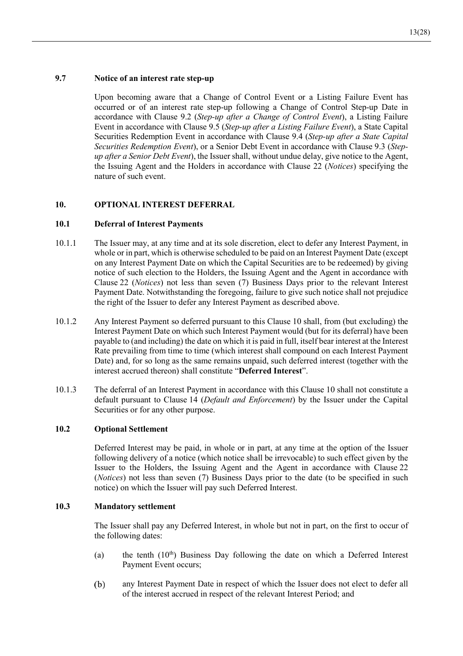# **9.7 Notice of an interest rate step-up**

Upon becoming aware that a Change of Control Event or a Listing Failure Event has occurred or of an interest rate step-up following a Change of Control Step-up Date in accordance with Clause 9.2 (*Step-up after a Change of Control Event*), a Listing Failure Event in accordance with Clause 9.5 (*Step-up after a Listing Failure Event*), a State Capital Securities Redemption Event in accordance with Clause 9.4 (*Step-up after a State Capital Securities Redemption Event*), or a Senior Debt Event in accordance with Clause 9.3 (*Stepup after a Senior Debt Event*), the Issuer shall, without undue delay, give notice to the Agent, the Issuing Agent and the Holders in accordance with Clause 22 (*Notices*) specifying the nature of such event.

# **10. OPTIONAL INTEREST DEFERRAL**

#### **10.1 Deferral of Interest Payments**

- 10.1.1 The Issuer may, at any time and at its sole discretion, elect to defer any Interest Payment, in whole or in part, which is otherwise scheduled to be paid on an Interest Payment Date (except on any Interest Payment Date on which the Capital Securities are to be redeemed) by giving notice of such election to the Holders, the Issuing Agent and the Agent in accordance with Clause 22 (*Notices*) not less than seven (7) Business Days prior to the relevant Interest Payment Date. Notwithstanding the foregoing, failure to give such notice shall not prejudice the right of the Issuer to defer any Interest Payment as described above.
- 10.1.2 Any Interest Payment so deferred pursuant to this Clause 10 shall, from (but excluding) the Interest Payment Date on which such Interest Payment would (but for its deferral) have been payable to (and including) the date on which it is paid in full, itself bear interest at the Interest Rate prevailing from time to time (which interest shall compound on each Interest Payment Date) and, for so long as the same remains unpaid, such deferred interest (together with the interest accrued thereon) shall constitute "**Deferred Interest**".
- 10.1.3 The deferral of an Interest Payment in accordance with this Clause 10 shall not constitute a default pursuant to Clause 14 (*Default and Enforcement*) by the Issuer under the Capital Securities or for any other purpose.

## **10.2 Optional Settlement**

Deferred Interest may be paid, in whole or in part, at any time at the option of the Issuer following delivery of a notice (which notice shall be irrevocable) to such effect given by the Issuer to the Holders, the Issuing Agent and the Agent in accordance with Clause 22 (*Notices*) not less than seven (7) Business Days prior to the date (to be specified in such notice) on which the Issuer will pay such Deferred Interest.

## **10.3 Mandatory settlement**

The Issuer shall pay any Deferred Interest, in whole but not in part, on the first to occur of the following dates:

- (a) the tenth  $(10<sup>th</sup>)$  Business Day following the date on which a Deferred Interest Payment Event occurs;
- $(b)$ any Interest Payment Date in respect of which the Issuer does not elect to defer all of the interest accrued in respect of the relevant Interest Period; and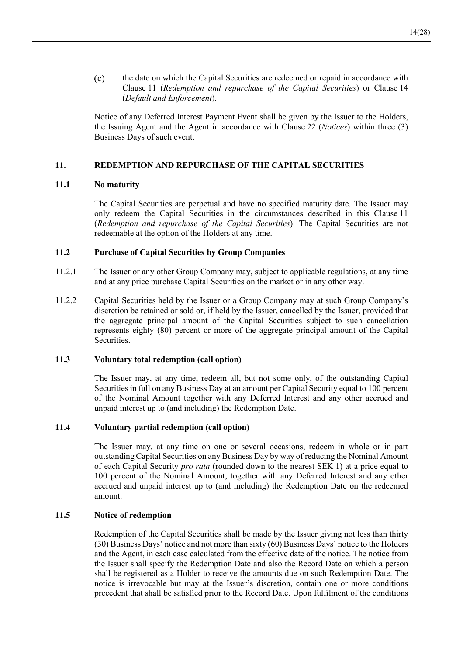$(c)$ the date on which the Capital Securities are redeemed or repaid in accordance with Clause 11 (*Redemption and repurchase of the Capital Securities*) or Clause 14 (*Default and Enforcement*).

Notice of any Deferred Interest Payment Event shall be given by the Issuer to the Holders, the Issuing Agent and the Agent in accordance with Clause 22 (*Notices*) within three (3) Business Days of such event.

## **11. REDEMPTION AND REPURCHASE OF THE CAPITAL SECURITIES**

## **11.1 No maturity**

The Capital Securities are perpetual and have no specified maturity date. The Issuer may only redeem the Capital Securities in the circumstances described in this Clause 11 (*Redemption and repurchase of the Capital Securities*). The Capital Securities are not redeemable at the option of the Holders at any time.

# **11.2 Purchase of Capital Securities by Group Companies**

- 11.2.1 The Issuer or any other Group Company may, subject to applicable regulations, at any time and at any price purchase Capital Securities on the market or in any other way.
- 11.2.2 Capital Securities held by the Issuer or a Group Company may at such Group Company's discretion be retained or sold or, if held by the Issuer, cancelled by the Issuer, provided that the aggregate principal amount of the Capital Securities subject to such cancellation represents eighty (80) percent or more of the aggregate principal amount of the Capital Securities.

## **11.3 Voluntary total redemption (call option)**

The Issuer may, at any time, redeem all, but not some only, of the outstanding Capital Securities in full on any Business Day at an amount per Capital Security equal to 100 percent of the Nominal Amount together with any Deferred Interest and any other accrued and unpaid interest up to (and including) the Redemption Date.

## **11.4 Voluntary partial redemption (call option)**

The Issuer may, at any time on one or several occasions, redeem in whole or in part outstanding Capital Securities on any Business Day by way of reducing the Nominal Amount of each Capital Security *pro rata* (rounded down to the nearest SEK 1) at a price equal to 100 percent of the Nominal Amount, together with any Deferred Interest and any other accrued and unpaid interest up to (and including) the Redemption Date on the redeemed amount.

## **11.5 Notice of redemption**

Redemption of the Capital Securities shall be made by the Issuer giving not less than thirty (30) Business Days' notice and not more than sixty (60) Business Days' notice to the Holders and the Agent, in each case calculated from the effective date of the notice. The notice from the Issuer shall specify the Redemption Date and also the Record Date on which a person shall be registered as a Holder to receive the amounts due on such Redemption Date. The notice is irrevocable but may at the Issuer's discretion, contain one or more conditions precedent that shall be satisfied prior to the Record Date. Upon fulfilment of the conditions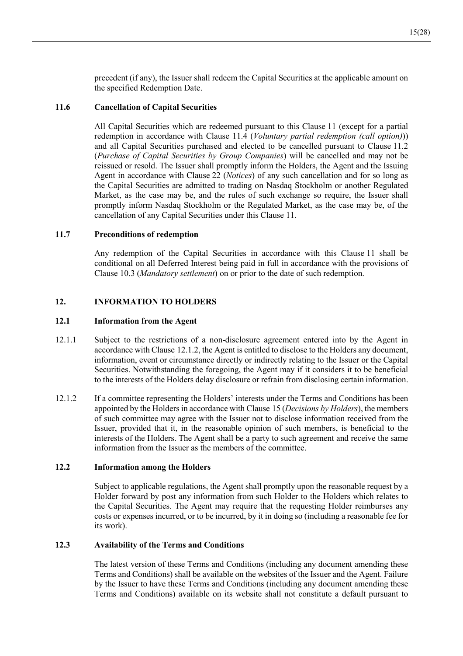precedent (if any), the Issuer shall redeem the Capital Securities at the applicable amount on the specified Redemption Date.

## **11.6 Cancellation of Capital Securities**

All Capital Securities which are redeemed pursuant to this Clause 11 (except for a partial redemption in accordance with Clause 11.4 (*Voluntary partial redemption (call option)*)) and all Capital Securities purchased and elected to be cancelled pursuant to Clause 11.2 (*Purchase of Capital Securities by Group Companies*) will be cancelled and may not be reissued or resold. The Issuer shall promptly inform the Holders, the Agent and the Issuing Agent in accordance with Clause 22 (*Notices*) of any such cancellation and for so long as the Capital Securities are admitted to trading on Nasdaq Stockholm or another Regulated Market, as the case may be, and the rules of such exchange so require, the Issuer shall promptly inform Nasdaq Stockholm or the Regulated Market, as the case may be, of the cancellation of any Capital Securities under this Clause 11.

## **11.7 Preconditions of redemption**

Any redemption of the Capital Securities in accordance with this Clause 11 shall be conditional on all Deferred Interest being paid in full in accordance with the provisions of Clause 10.3 (*Mandatory settlement*) on or prior to the date of such redemption.

# **12. INFORMATION TO HOLDERS**

## **12.1 Information from the Agent**

- 12.1.1 Subject to the restrictions of a non-disclosure agreement entered into by the Agent in accordance with Clause 12.1.2, the Agent is entitled to disclose to the Holders any document, information, event or circumstance directly or indirectly relating to the Issuer or the Capital Securities. Notwithstanding the foregoing, the Agent may if it considers it to be beneficial to the interests of the Holders delay disclosure or refrain from disclosing certain information.
- 12.1.2 If a committee representing the Holders' interests under the Terms and Conditions has been appointed by the Holders in accordance with Clause 15 (*Decisions by Holders*), the members of such committee may agree with the Issuer not to disclose information received from the Issuer, provided that it, in the reasonable opinion of such members, is beneficial to the interests of the Holders. The Agent shall be a party to such agreement and receive the same information from the Issuer as the members of the committee.

## **12.2 Information among the Holders**

Subject to applicable regulations, the Agent shall promptly upon the reasonable request by a Holder forward by post any information from such Holder to the Holders which relates to the Capital Securities. The Agent may require that the requesting Holder reimburses any costs or expenses incurred, or to be incurred, by it in doing so (including a reasonable fee for its work).

## **12.3 Availability of the Terms and Conditions**

The latest version of these Terms and Conditions (including any document amending these Terms and Conditions) shall be available on the websites of the Issuer and the Agent. Failure by the Issuer to have these Terms and Conditions (including any document amending these Terms and Conditions) available on its website shall not constitute a default pursuant to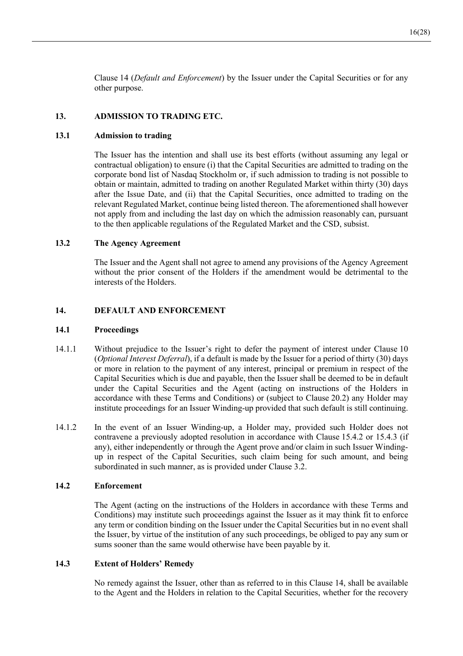Clause 14 (*Default and Enforcement*) by the Issuer under the Capital Securities or for any other purpose.

## **13. ADMISSION TO TRADING ETC.**

#### **13.1 Admission to trading**

The Issuer has the intention and shall use its best efforts (without assuming any legal or contractual obligation) to ensure (i) that the Capital Securities are admitted to trading on the corporate bond list of Nasdaq Stockholm or, if such admission to trading is not possible to obtain or maintain, admitted to trading on another Regulated Market within thirty (30) days after the Issue Date, and (ii) that the Capital Securities, once admitted to trading on the relevant Regulated Market, continue being listed thereon. The aforementioned shall however not apply from and including the last day on which the admission reasonably can, pursuant to the then applicable regulations of the Regulated Market and the CSD, subsist.

## **13.2 The Agency Agreement**

The Issuer and the Agent shall not agree to amend any provisions of the Agency Agreement without the prior consent of the Holders if the amendment would be detrimental to the interests of the Holders.

#### **14. DEFAULT AND ENFORCEMENT**

#### **14.1 Proceedings**

- 14.1.1 Without prejudice to the Issuer's right to defer the payment of interest under Clause 10 (*Optional Interest Deferral*), if a default is made by the Issuer for a period of thirty (30) days or more in relation to the payment of any interest, principal or premium in respect of the Capital Securities which is due and payable, then the Issuer shall be deemed to be in default under the Capital Securities and the Agent (acting on instructions of the Holders in accordance with these Terms and Conditions) or (subject to Clause 20.2) any Holder may institute proceedings for an Issuer Winding-up provided that such default is still continuing.
- 14.1.2 In the event of an Issuer Winding-up, a Holder may, provided such Holder does not contravene a previously adopted resolution in accordance with Clause 15.4.2 or 15.4.3 (if any), either independently or through the Agent prove and/or claim in such Issuer Windingup in respect of the Capital Securities, such claim being for such amount, and being subordinated in such manner, as is provided under Clause 3.2.

## **14.2 Enforcement**

The Agent (acting on the instructions of the Holders in accordance with these Terms and Conditions) may institute such proceedings against the Issuer as it may think fit to enforce any term or condition binding on the Issuer under the Capital Securities but in no event shall the Issuer, by virtue of the institution of any such proceedings, be obliged to pay any sum or sums sooner than the same would otherwise have been payable by it.

#### **14.3 Extent of Holders' Remedy**

No remedy against the Issuer, other than as referred to in this Clause 14, shall be available to the Agent and the Holders in relation to the Capital Securities, whether for the recovery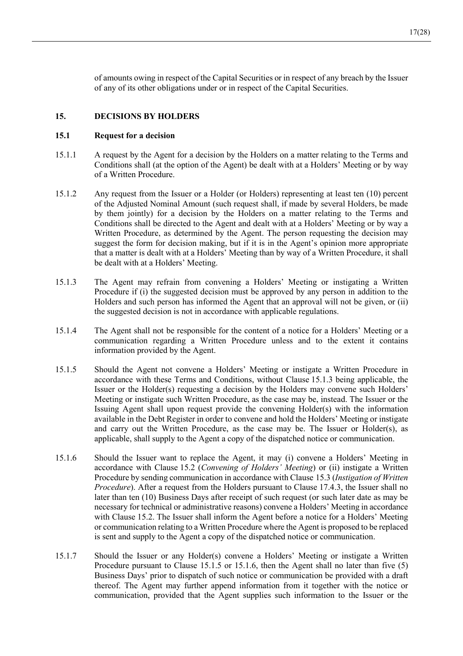of amounts owing in respect of the Capital Securities or in respect of any breach by the Issuer of any of its other obligations under or in respect of the Capital Securities.

# **15. DECISIONS BY HOLDERS**

#### **15.1 Request for a decision**

- 15.1.1 A request by the Agent for a decision by the Holders on a matter relating to the Terms and Conditions shall (at the option of the Agent) be dealt with at a Holders' Meeting or by way of a Written Procedure.
- 15.1.2 Any request from the Issuer or a Holder (or Holders) representing at least ten (10) percent of the Adjusted Nominal Amount (such request shall, if made by several Holders, be made by them jointly) for a decision by the Holders on a matter relating to the Terms and Conditions shall be directed to the Agent and dealt with at a Holders' Meeting or by way a Written Procedure, as determined by the Agent. The person requesting the decision may suggest the form for decision making, but if it is in the Agent's opinion more appropriate that a matter is dealt with at a Holders' Meeting than by way of a Written Procedure, it shall be dealt with at a Holders' Meeting.
- 15.1.3 The Agent may refrain from convening a Holders' Meeting or instigating a Written Procedure if (i) the suggested decision must be approved by any person in addition to the Holders and such person has informed the Agent that an approval will not be given, or (ii) the suggested decision is not in accordance with applicable regulations.
- 15.1.4 The Agent shall not be responsible for the content of a notice for a Holders' Meeting or a communication regarding a Written Procedure unless and to the extent it contains information provided by the Agent.
- 15.1.5 Should the Agent not convene a Holders' Meeting or instigate a Written Procedure in accordance with these Terms and Conditions, without Clause 15.1.3 being applicable, the Issuer or the Holder(s) requesting a decision by the Holders may convene such Holders' Meeting or instigate such Written Procedure, as the case may be, instead. The Issuer or the Issuing Agent shall upon request provide the convening Holder(s) with the information available in the Debt Register in order to convene and hold the Holders' Meeting or instigate and carry out the Written Procedure, as the case may be. The Issuer or Holder(s), as applicable, shall supply to the Agent a copy of the dispatched notice or communication.
- 15.1.6 Should the Issuer want to replace the Agent, it may (i) convene a Holders' Meeting in accordance with Clause 15.2 (*Convening of Holders' Meeting*) or (ii) instigate a Written Procedure by sending communication in accordance with Clause 15.3 (*Instigation of Written Procedure*). After a request from the Holders pursuant to Clause 17.4.3, the Issuer shall no later than ten (10) Business Days after receipt of such request (or such later date as may be necessary for technical or administrative reasons) convene a Holders' Meeting in accordance with Clause 15.2. The Issuer shall inform the Agent before a notice for a Holders' Meeting or communication relating to a Written Procedure where the Agent is proposed to be replaced is sent and supply to the Agent a copy of the dispatched notice or communication.
- 15.1.7 Should the Issuer or any Holder(s) convene a Holders' Meeting or instigate a Written Procedure pursuant to Clause 15.1.5 or 15.1.6, then the Agent shall no later than five (5) Business Days' prior to dispatch of such notice or communication be provided with a draft thereof. The Agent may further append information from it together with the notice or communication, provided that the Agent supplies such information to the Issuer or the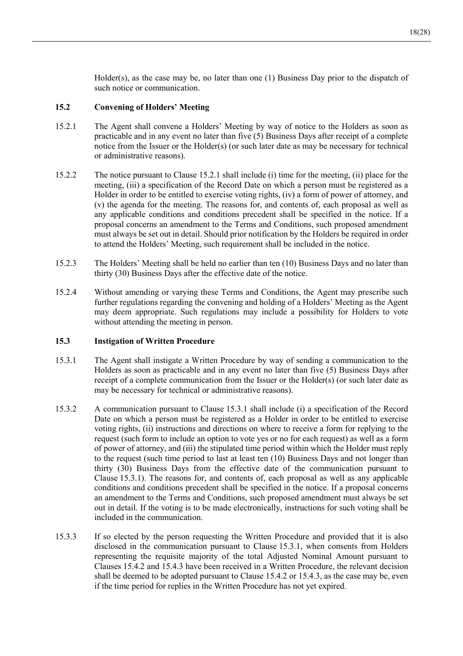Holder(s), as the case may be, no later than one  $(1)$  Business Day prior to the dispatch of such notice or communication.

## **15.2 Convening of Holders' Meeting**

- 15.2.1 The Agent shall convene a Holders' Meeting by way of notice to the Holders as soon as practicable and in any event no later than five (5) Business Days after receipt of a complete notice from the Issuer or the Holder(s) (or such later date as may be necessary for technical or administrative reasons).
- 15.2.2 The notice pursuant to Clause 15.2.1 shall include (i) time for the meeting, (ii) place for the meeting, (iii) a specification of the Record Date on which a person must be registered as a Holder in order to be entitled to exercise voting rights, (iv) a form of power of attorney, and (v) the agenda for the meeting. The reasons for, and contents of, each proposal as well as any applicable conditions and conditions precedent shall be specified in the notice. If a proposal concerns an amendment to the Terms and Conditions, such proposed amendment must always be set out in detail. Should prior notification by the Holders be required in order to attend the Holders' Meeting, such requirement shall be included in the notice.
- 15.2.3 The Holders' Meeting shall be held no earlier than ten (10) Business Days and no later than thirty (30) Business Days after the effective date of the notice.
- 15.2.4 Without amending or varying these Terms and Conditions, the Agent may prescribe such further regulations regarding the convening and holding of a Holders' Meeting as the Agent may deem appropriate. Such regulations may include a possibility for Holders to vote without attending the meeting in person.

## **15.3 Instigation of Written Procedure**

- 15.3.1 The Agent shall instigate a Written Procedure by way of sending a communication to the Holders as soon as practicable and in any event no later than five (5) Business Days after receipt of a complete communication from the Issuer or the Holder(s) (or such later date as may be necessary for technical or administrative reasons).
- 15.3.2 A communication pursuant to Clause 15.3.1 shall include (i) a specification of the Record Date on which a person must be registered as a Holder in order to be entitled to exercise voting rights, (ii) instructions and directions on where to receive a form for replying to the request (such form to include an option to vote yes or no for each request) as well as a form of power of attorney, and (iii) the stipulated time period within which the Holder must reply to the request (such time period to last at least ten (10) Business Days and not longer than thirty (30) Business Days from the effective date of the communication pursuant to Clause 15.3.1). The reasons for, and contents of, each proposal as well as any applicable conditions and conditions precedent shall be specified in the notice. If a proposal concerns an amendment to the Terms and Conditions, such proposed amendment must always be set out in detail. If the voting is to be made electronically, instructions for such voting shall be included in the communication.
- 15.3.3 If so elected by the person requesting the Written Procedure and provided that it is also disclosed in the communication pursuant to Clause 15.3.1, when consents from Holders representing the requisite majority of the total Adjusted Nominal Amount pursuant to Clauses 15.4.2 and 15.4.3 have been received in a Written Procedure, the relevant decision shall be deemed to be adopted pursuant to Clause 15.4.2 or 15.4.3, as the case may be, even if the time period for replies in the Written Procedure has not yet expired.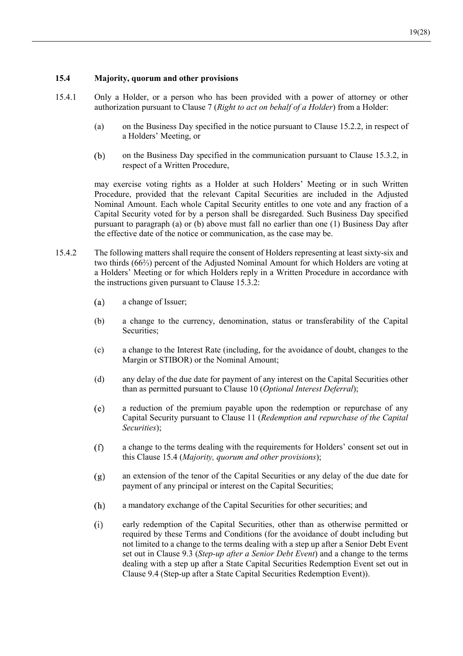# **15.4 Majority, quorum and other provisions**

- 15.4.1 Only a Holder, or a person who has been provided with a power of attorney or other authorization pursuant to Clause 7 (*Right to act on behalf of a Holder*) from a Holder:
	- (a) on the Business Day specified in the notice pursuant to Clause 15.2.2, in respect of a Holders' Meeting, or
	- $(b)$ on the Business Day specified in the communication pursuant to Clause 15.3.2, in respect of a Written Procedure,

may exercise voting rights as a Holder at such Holders' Meeting or in such Written Procedure, provided that the relevant Capital Securities are included in the Adjusted Nominal Amount. Each whole Capital Security entitles to one vote and any fraction of a Capital Security voted for by a person shall be disregarded. Such Business Day specified pursuant to paragraph (a) or (b) above must fall no earlier than one (1) Business Day after the effective date of the notice or communication, as the case may be.

- 15.4.2 The following matters shall require the consent of Holders representing at least sixty-six and two thirds (66⅔) percent of the Adjusted Nominal Amount for which Holders are voting at a Holders' Meeting or for which Holders reply in a Written Procedure in accordance with the instructions given pursuant to Clause 15.3.2:
	- a change of Issuer;  $(a)$
	- (b) a change to the currency, denomination, status or transferability of the Capital Securities;
	- (c) a change to the Interest Rate (including, for the avoidance of doubt, changes to the Margin or STIBOR) or the Nominal Amount;
	- (d) any delay of the due date for payment of any interest on the Capital Securities other than as permitted pursuant to Clause 10 (*Optional Interest Deferral*);
	- $(e)$ a reduction of the premium payable upon the redemption or repurchase of any Capital Security pursuant to Clause 11 (*Redemption and repurchase of the Capital Securities*);
	- $(f)$ a change to the terms dealing with the requirements for Holders' consent set out in this Clause 15.4 (*Majority, quorum and other provisions*);
	- $(g)$ an extension of the tenor of the Capital Securities or any delay of the due date for payment of any principal or interest on the Capital Securities;
	- $(h)$ a mandatory exchange of the Capital Securities for other securities; and
	- $(i)$ early redemption of the Capital Securities, other than as otherwise permitted or required by these Terms and Conditions (for the avoidance of doubt including but not limited to a change to the terms dealing with a step up after a Senior Debt Event set out in Clause 9.3 (*Step-up after a Senior Debt Event*) and a change to the terms dealing with a step up after a State Capital Securities Redemption Event set out in Clause 9.4 (Step-up after a State Capital Securities Redemption Event)).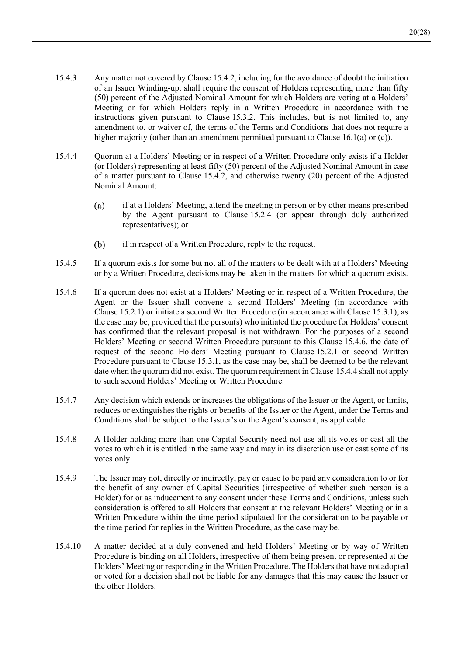- 15.4.3 Any matter not covered by Clause 15.4.2, including for the avoidance of doubt the initiation of an Issuer Winding-up, shall require the consent of Holders representing more than fifty (50) percent of the Adjusted Nominal Amount for which Holders are voting at a Holders' Meeting or for which Holders reply in a Written Procedure in accordance with the instructions given pursuant to Clause 15.3.2. This includes, but is not limited to, any amendment to, or waiver of, the terms of the Terms and Conditions that does not require a higher majority (other than an amendment permitted pursuant to Clause 16.1(a) or (c)).
- 15.4.4 Quorum at a Holders' Meeting or in respect of a Written Procedure only exists if a Holder (or Holders) representing at least fifty (50) percent of the Adjusted Nominal Amount in case of a matter pursuant to Clause 15.4.2, and otherwise twenty (20) percent of the Adjusted Nominal Amount:
	- $(a)$ if at a Holders' Meeting, attend the meeting in person or by other means prescribed by the Agent pursuant to Clause 15.2.4 (or appear through duly authorized representatives); or
	- $(b)$ if in respect of a Written Procedure, reply to the request.
- 15.4.5 If a quorum exists for some but not all of the matters to be dealt with at a Holders' Meeting or by a Written Procedure, decisions may be taken in the matters for which a quorum exists.
- 15.4.6 If a quorum does not exist at a Holders' Meeting or in respect of a Written Procedure, the Agent or the Issuer shall convene a second Holders' Meeting (in accordance with Clause 15.2.1) or initiate a second Written Procedure (in accordance with Clause 15.3.1), as the case may be, provided that the person(s) who initiated the procedure for Holders' consent has confirmed that the relevant proposal is not withdrawn. For the purposes of a second Holders' Meeting or second Written Procedure pursuant to this Clause 15.4.6, the date of request of the second Holders' Meeting pursuant to Clause 15.2.1 or second Written Procedure pursuant to Clause 15.3.1, as the case may be, shall be deemed to be the relevant date when the quorum did not exist. The quorum requirement in Clause 15.4.4 shall not apply to such second Holders' Meeting or Written Procedure.
- 15.4.7 Any decision which extends or increases the obligations of the Issuer or the Agent, or limits, reduces or extinguishes the rights or benefits of the Issuer or the Agent, under the Terms and Conditions shall be subject to the Issuer's or the Agent's consent, as applicable.
- 15.4.8 A Holder holding more than one Capital Security need not use all its votes or cast all the votes to which it is entitled in the same way and may in its discretion use or cast some of its votes only.
- 15.4.9 The Issuer may not, directly or indirectly, pay or cause to be paid any consideration to or for the benefit of any owner of Capital Securities (irrespective of whether such person is a Holder) for or as inducement to any consent under these Terms and Conditions, unless such consideration is offered to all Holders that consent at the relevant Holders' Meeting or in a Written Procedure within the time period stipulated for the consideration to be payable or the time period for replies in the Written Procedure, as the case may be.
- 15.4.10 A matter decided at a duly convened and held Holders' Meeting or by way of Written Procedure is binding on all Holders, irrespective of them being present or represented at the Holders' Meeting or responding in the Written Procedure. The Holders that have not adopted or voted for a decision shall not be liable for any damages that this may cause the Issuer or the other Holders.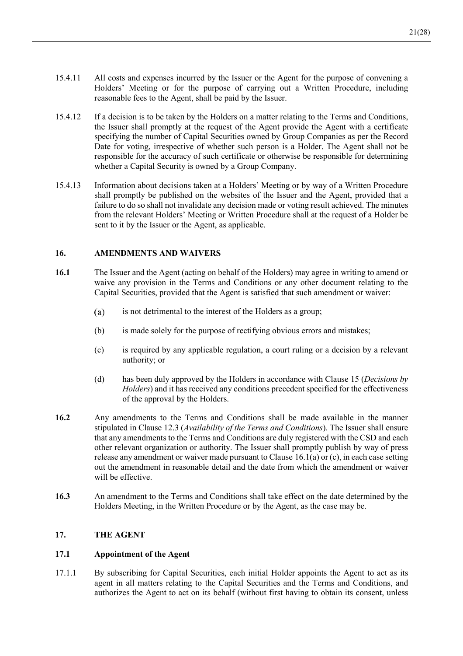- 15.4.11 All costs and expenses incurred by the Issuer or the Agent for the purpose of convening a Holders' Meeting or for the purpose of carrying out a Written Procedure, including reasonable fees to the Agent, shall be paid by the Issuer.
- 15.4.12 If a decision is to be taken by the Holders on a matter relating to the Terms and Conditions, the Issuer shall promptly at the request of the Agent provide the Agent with a certificate specifying the number of Capital Securities owned by Group Companies as per the Record Date for voting, irrespective of whether such person is a Holder. The Agent shall not be responsible for the accuracy of such certificate or otherwise be responsible for determining whether a Capital Security is owned by a Group Company.
- 15.4.13 Information about decisions taken at a Holders' Meeting or by way of a Written Procedure shall promptly be published on the websites of the Issuer and the Agent, provided that a failure to do so shall not invalidate any decision made or voting result achieved. The minutes from the relevant Holders' Meeting or Written Procedure shall at the request of a Holder be sent to it by the Issuer or the Agent, as applicable.

# **16. AMENDMENTS AND WAIVERS**

- **16.1** The Issuer and the Agent (acting on behalf of the Holders) may agree in writing to amend or waive any provision in the Terms and Conditions or any other document relating to the Capital Securities, provided that the Agent is satisfied that such amendment or waiver:
	- $(a)$ is not detrimental to the interest of the Holders as a group;
	- (b) is made solely for the purpose of rectifying obvious errors and mistakes;
	- (c) is required by any applicable regulation, a court ruling or a decision by a relevant authority; or
	- (d) has been duly approved by the Holders in accordance with Clause 15 (*Decisions by Holders*) and it has received any conditions precedent specified for the effectiveness of the approval by the Holders.
- **16.2** Any amendments to the Terms and Conditions shall be made available in the manner stipulated in Clause 12.3 (*Availability of the Terms and Conditions*). The Issuer shall ensure that any amendments to the Terms and Conditions are duly registered with the CSD and each other relevant organization or authority. The Issuer shall promptly publish by way of press release any amendment or waiver made pursuant to Clause 16.1(a) or (c), in each case setting out the amendment in reasonable detail and the date from which the amendment or waiver will be effective.
- **16.3** An amendment to the Terms and Conditions shall take effect on the date determined by the Holders Meeting, in the Written Procedure or by the Agent, as the case may be.

# **17. THE AGENT**

## **17.1 Appointment of the Agent**

17.1.1 By subscribing for Capital Securities, each initial Holder appoints the Agent to act as its agent in all matters relating to the Capital Securities and the Terms and Conditions, and authorizes the Agent to act on its behalf (without first having to obtain its consent, unless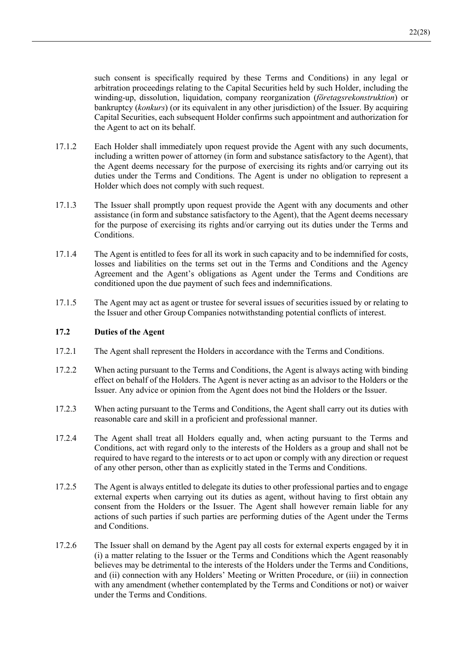such consent is specifically required by these Terms and Conditions) in any legal or arbitration proceedings relating to the Capital Securities held by such Holder, including the winding-up, dissolution, liquidation, company reorganization (*företagsrekonstruktion*) or bankruptcy (*konkurs*) (or its equivalent in any other jurisdiction) of the Issuer. By acquiring Capital Securities, each subsequent Holder confirms such appointment and authorization for the Agent to act on its behalf.

- 17.1.2 Each Holder shall immediately upon request provide the Agent with any such documents, including a written power of attorney (in form and substance satisfactory to the Agent), that the Agent deems necessary for the purpose of exercising its rights and/or carrying out its duties under the Terms and Conditions. The Agent is under no obligation to represent a Holder which does not comply with such request.
- 17.1.3 The Issuer shall promptly upon request provide the Agent with any documents and other assistance (in form and substance satisfactory to the Agent), that the Agent deems necessary for the purpose of exercising its rights and/or carrying out its duties under the Terms and Conditions.
- 17.1.4 The Agent is entitled to fees for all its work in such capacity and to be indemnified for costs, losses and liabilities on the terms set out in the Terms and Conditions and the Agency Agreement and the Agent's obligations as Agent under the Terms and Conditions are conditioned upon the due payment of such fees and indemnifications.
- 17.1.5 The Agent may act as agent or trustee for several issues of securities issued by or relating to the Issuer and other Group Companies notwithstanding potential conflicts of interest.

## **17.2 Duties of the Agent**

- 17.2.1 The Agent shall represent the Holders in accordance with the Terms and Conditions.
- 17.2.2 When acting pursuant to the Terms and Conditions, the Agent is always acting with binding effect on behalf of the Holders. The Agent is never acting as an advisor to the Holders or the Issuer. Any advice or opinion from the Agent does not bind the Holders or the Issuer.
- 17.2.3 When acting pursuant to the Terms and Conditions, the Agent shall carry out its duties with reasonable care and skill in a proficient and professional manner.
- 17.2.4 The Agent shall treat all Holders equally and, when acting pursuant to the Terms and Conditions, act with regard only to the interests of the Holders as a group and shall not be required to have regard to the interests or to act upon or comply with any direction or request of any other person, other than as explicitly stated in the Terms and Conditions.
- 17.2.5 The Agent is always entitled to delegate its duties to other professional parties and to engage external experts when carrying out its duties as agent, without having to first obtain any consent from the Holders or the Issuer. The Agent shall however remain liable for any actions of such parties if such parties are performing duties of the Agent under the Terms and Conditions.
- 17.2.6 The Issuer shall on demand by the Agent pay all costs for external experts engaged by it in (i) a matter relating to the Issuer or the Terms and Conditions which the Agent reasonably believes may be detrimental to the interests of the Holders under the Terms and Conditions, and (ii) connection with any Holders' Meeting or Written Procedure, or (iii) in connection with any amendment (whether contemplated by the Terms and Conditions or not) or waiver under the Terms and Conditions.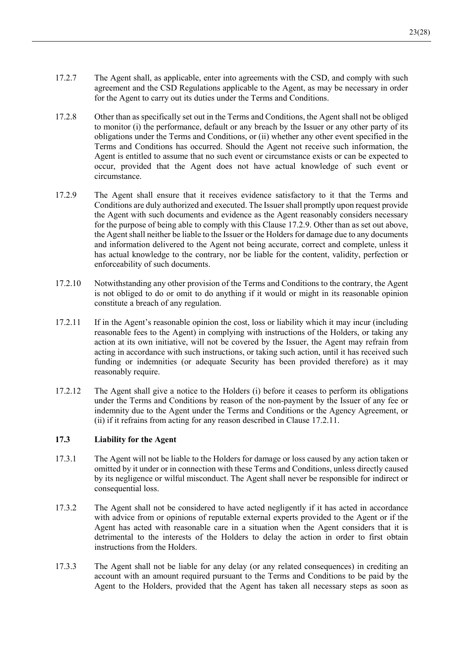- 17.2.7 The Agent shall, as applicable, enter into agreements with the CSD, and comply with such agreement and the CSD Regulations applicable to the Agent, as may be necessary in order for the Agent to carry out its duties under the Terms and Conditions.
- 17.2.8 Other than as specifically set out in the Terms and Conditions, the Agent shall not be obliged to monitor (i) the performance, default or any breach by the Issuer or any other party of its obligations under the Terms and Conditions, or (ii) whether any other event specified in the Terms and Conditions has occurred. Should the Agent not receive such information, the Agent is entitled to assume that no such event or circumstance exists or can be expected to occur, provided that the Agent does not have actual knowledge of such event or circumstance.
- 17.2.9 The Agent shall ensure that it receives evidence satisfactory to it that the Terms and Conditions are duly authorized and executed. The Issuer shall promptly upon request provide the Agent with such documents and evidence as the Agent reasonably considers necessary for the purpose of being able to comply with this Clause 17.2.9. Other than as set out above, the Agent shall neither be liable to the Issuer or the Holders for damage due to any documents and information delivered to the Agent not being accurate, correct and complete, unless it has actual knowledge to the contrary, nor be liable for the content, validity, perfection or enforceability of such documents.
- 17.2.10 Notwithstanding any other provision of the Terms and Conditions to the contrary, the Agent is not obliged to do or omit to do anything if it would or might in its reasonable opinion constitute a breach of any regulation.
- 17.2.11 If in the Agent's reasonable opinion the cost, loss or liability which it may incur (including reasonable fees to the Agent) in complying with instructions of the Holders, or taking any action at its own initiative, will not be covered by the Issuer, the Agent may refrain from acting in accordance with such instructions, or taking such action, until it has received such funding or indemnities (or adequate Security has been provided therefore) as it may reasonably require.
- 17.2.12 The Agent shall give a notice to the Holders (i) before it ceases to perform its obligations under the Terms and Conditions by reason of the non-payment by the Issuer of any fee or indemnity due to the Agent under the Terms and Conditions or the Agency Agreement, or (ii) if it refrains from acting for any reason described in Clause 17.2.11.

# **17.3 Liability for the Agent**

- 17.3.1 The Agent will not be liable to the Holders for damage or loss caused by any action taken or omitted by it under or in connection with these Terms and Conditions, unless directly caused by its negligence or wilful misconduct. The Agent shall never be responsible for indirect or consequential loss.
- 17.3.2 The Agent shall not be considered to have acted negligently if it has acted in accordance with advice from or opinions of reputable external experts provided to the Agent or if the Agent has acted with reasonable care in a situation when the Agent considers that it is detrimental to the interests of the Holders to delay the action in order to first obtain instructions from the Holders.
- 17.3.3 The Agent shall not be liable for any delay (or any related consequences) in crediting an account with an amount required pursuant to the Terms and Conditions to be paid by the Agent to the Holders, provided that the Agent has taken all necessary steps as soon as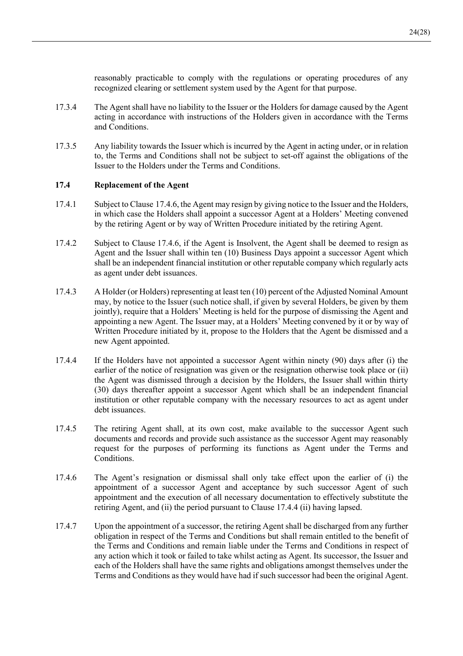reasonably practicable to comply with the regulations or operating procedures of any recognized clearing or settlement system used by the Agent for that purpose.

- 17.3.4 The Agent shall have no liability to the Issuer or the Holders for damage caused by the Agent acting in accordance with instructions of the Holders given in accordance with the Terms and Conditions.
- 17.3.5 Any liability towards the Issuer which is incurred by the Agent in acting under, or in relation to, the Terms and Conditions shall not be subject to set-off against the obligations of the Issuer to the Holders under the Terms and Conditions.

## **17.4 Replacement of the Agent**

- 17.4.1 Subject to Clause 17.4.6, the Agent may resign by giving notice to the Issuer and the Holders, in which case the Holders shall appoint a successor Agent at a Holders' Meeting convened by the retiring Agent or by way of Written Procedure initiated by the retiring Agent.
- 17.4.2 Subject to Clause 17.4.6, if the Agent is Insolvent, the Agent shall be deemed to resign as Agent and the Issuer shall within ten (10) Business Days appoint a successor Agent which shall be an independent financial institution or other reputable company which regularly acts as agent under debt issuances.
- 17.4.3 A Holder (or Holders) representing at least ten (10) percent of the Adjusted Nominal Amount may, by notice to the Issuer (such notice shall, if given by several Holders, be given by them jointly), require that a Holders' Meeting is held for the purpose of dismissing the Agent and appointing a new Agent. The Issuer may, at a Holders' Meeting convened by it or by way of Written Procedure initiated by it, propose to the Holders that the Agent be dismissed and a new Agent appointed.
- 17.4.4 If the Holders have not appointed a successor Agent within ninety (90) days after (i) the earlier of the notice of resignation was given or the resignation otherwise took place or (ii) the Agent was dismissed through a decision by the Holders, the Issuer shall within thirty (30) days thereafter appoint a successor Agent which shall be an independent financial institution or other reputable company with the necessary resources to act as agent under debt issuances.
- 17.4.5 The retiring Agent shall, at its own cost, make available to the successor Agent such documents and records and provide such assistance as the successor Agent may reasonably request for the purposes of performing its functions as Agent under the Terms and Conditions.
- 17.4.6 The Agent's resignation or dismissal shall only take effect upon the earlier of (i) the appointment of a successor Agent and acceptance by such successor Agent of such appointment and the execution of all necessary documentation to effectively substitute the retiring Agent, and (ii) the period pursuant to Clause 17.4.4 (ii) having lapsed.
- 17.4.7 Upon the appointment of a successor, the retiring Agent shall be discharged from any further obligation in respect of the Terms and Conditions but shall remain entitled to the benefit of the Terms and Conditions and remain liable under the Terms and Conditions in respect of any action which it took or failed to take whilst acting as Agent. Its successor, the Issuer and each of the Holders shall have the same rights and obligations amongst themselves under the Terms and Conditions as they would have had if such successor had been the original Agent.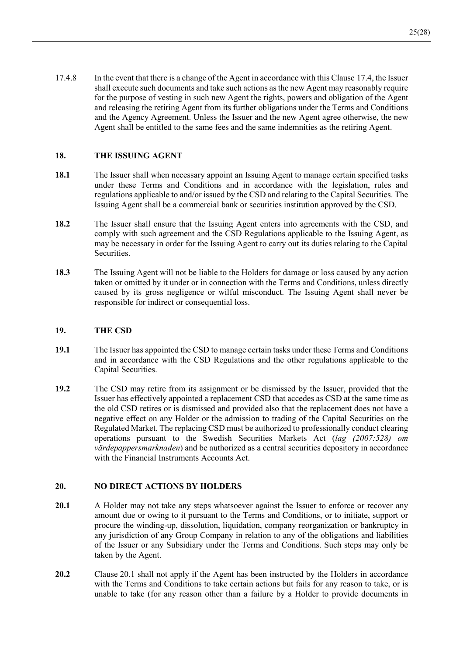17.4.8 In the event that there is a change of the Agent in accordance with this Clause 17.4, the Issuer shall execute such documents and take such actions as the new Agent may reasonably require for the purpose of vesting in such new Agent the rights, powers and obligation of the Agent and releasing the retiring Agent from its further obligations under the Terms and Conditions and the Agency Agreement. Unless the Issuer and the new Agent agree otherwise, the new Agent shall be entitled to the same fees and the same indemnities as the retiring Agent.

# **18. THE ISSUING AGENT**

- **18.1** The Issuer shall when necessary appoint an Issuing Agent to manage certain specified tasks under these Terms and Conditions and in accordance with the legislation, rules and regulations applicable to and/or issued by the CSD and relating to the Capital Securities. The Issuing Agent shall be a commercial bank or securities institution approved by the CSD.
- **18.2** The Issuer shall ensure that the Issuing Agent enters into agreements with the CSD, and comply with such agreement and the CSD Regulations applicable to the Issuing Agent, as may be necessary in order for the Issuing Agent to carry out its duties relating to the Capital Securities.
- **18.3** The Issuing Agent will not be liable to the Holders for damage or loss caused by any action taken or omitted by it under or in connection with the Terms and Conditions, unless directly caused by its gross negligence or wilful misconduct. The Issuing Agent shall never be responsible for indirect or consequential loss.

## **19. THE CSD**

- **19.1** The Issuer has appointed the CSD to manage certain tasks under these Terms and Conditions and in accordance with the CSD Regulations and the other regulations applicable to the Capital Securities.
- **19.2** The CSD may retire from its assignment or be dismissed by the Issuer, provided that the Issuer has effectively appointed a replacement CSD that accedes as CSD at the same time as the old CSD retires or is dismissed and provided also that the replacement does not have a negative effect on any Holder or the admission to trading of the Capital Securities on the Regulated Market. The replacing CSD must be authorized to professionally conduct clearing operations pursuant to the Swedish Securities Markets Act (*lag (2007:528) om värdepappersmarknaden*) and be authorized as a central securities depository in accordance with the Financial Instruments Accounts Act.

## **20. NO DIRECT ACTIONS BY HOLDERS**

- 20.1 A Holder may not take any steps whatsoever against the Issuer to enforce or recover any amount due or owing to it pursuant to the Terms and Conditions, or to initiate, support or procure the winding-up, dissolution, liquidation, company reorganization or bankruptcy in any jurisdiction of any Group Company in relation to any of the obligations and liabilities of the Issuer or any Subsidiary under the Terms and Conditions. Such steps may only be taken by the Agent.
- **20.2** Clause 20.1 shall not apply if the Agent has been instructed by the Holders in accordance with the Terms and Conditions to take certain actions but fails for any reason to take, or is unable to take (for any reason other than a failure by a Holder to provide documents in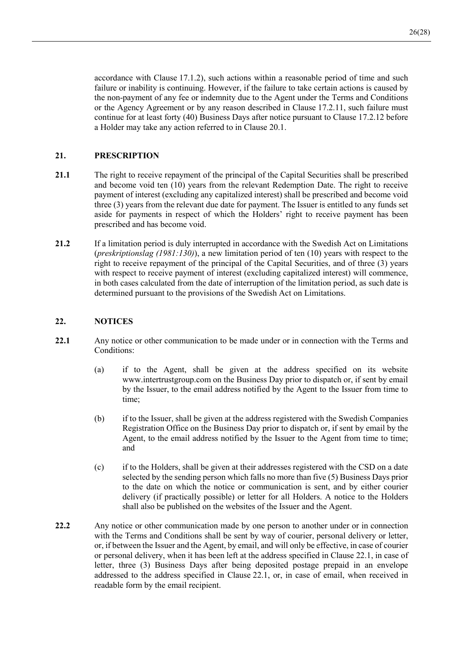accordance with Clause 17.1.2), such actions within a reasonable period of time and such failure or inability is continuing. However, if the failure to take certain actions is caused by the non-payment of any fee or indemnity due to the Agent under the Terms and Conditions or the Agency Agreement or by any reason described in Clause 17.2.11, such failure must continue for at least forty (40) Business Days after notice pursuant to Clause 17.2.12 before a Holder may take any action referred to in Clause 20.1.

# **21. PRESCRIPTION**

- 21.1 The right to receive repayment of the principal of the Capital Securities shall be prescribed and become void ten (10) years from the relevant Redemption Date. The right to receive payment of interest (excluding any capitalized interest) shall be prescribed and become void three (3) years from the relevant due date for payment. The Issuer is entitled to any funds set aside for payments in respect of which the Holders' right to receive payment has been prescribed and has become void.
- **21.2** If a limitation period is duly interrupted in accordance with the Swedish Act on Limitations (*preskriptionslag (1981:130)*), a new limitation period of ten (10) years with respect to the right to receive repayment of the principal of the Capital Securities, and of three (3) years with respect to receive payment of interest (excluding capitalized interest) will commence, in both cases calculated from the date of interruption of the limitation period, as such date is determined pursuant to the provisions of the Swedish Act on Limitations.

## **22. NOTICES**

- **22.1** Any notice or other communication to be made under or in connection with the Terms and Conditions:
	- (a) if to the Agent, shall be given at the address specified on its website www.intertrustgroup.com on the Business Day prior to dispatch or, if sent by email by the Issuer, to the email address notified by the Agent to the Issuer from time to time;
	- (b) if to the Issuer, shall be given at the address registered with the Swedish Companies Registration Office on the Business Day prior to dispatch or, if sent by email by the Agent, to the email address notified by the Issuer to the Agent from time to time; and
	- (c) if to the Holders, shall be given at their addresses registered with the CSD on a date selected by the sending person which falls no more than five (5) Business Days prior to the date on which the notice or communication is sent, and by either courier delivery (if practically possible) or letter for all Holders. A notice to the Holders shall also be published on the websites of the Issuer and the Agent.
- **22.2** Any notice or other communication made by one person to another under or in connection with the Terms and Conditions shall be sent by way of courier, personal delivery or letter, or, if between the Issuer and the Agent, by email, and will only be effective, in case of courier or personal delivery, when it has been left at the address specified in Clause 22.1, in case of letter, three (3) Business Days after being deposited postage prepaid in an envelope addressed to the address specified in Clause 22.1, or, in case of email, when received in readable form by the email recipient.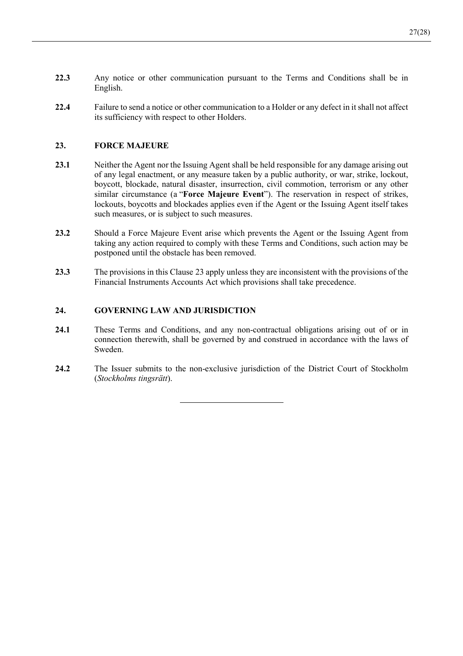- **22.3** Any notice or other communication pursuant to the Terms and Conditions shall be in English.
- **22.4** Failure to send a notice or other communication to a Holder or any defect in it shall not affect its sufficiency with respect to other Holders.

# **23. FORCE MAJEURE**

- **23.1** Neither the Agent nor the Issuing Agent shall be held responsible for any damage arising out of any legal enactment, or any measure taken by a public authority, or war, strike, lockout, boycott, blockade, natural disaster, insurrection, civil commotion, terrorism or any other similar circumstance (a "**Force Majeure Event**"). The reservation in respect of strikes, lockouts, boycotts and blockades applies even if the Agent or the Issuing Agent itself takes such measures, or is subject to such measures.
- 23.2 Should a Force Majeure Event arise which prevents the Agent or the Issuing Agent from taking any action required to comply with these Terms and Conditions, such action may be postponed until the obstacle has been removed.
- **23.3** The provisions in this Clause 23 apply unless they are inconsistent with the provisions of the Financial Instruments Accounts Act which provisions shall take precedence.

# **24. GOVERNING LAW AND JURISDICTION**

- **24.1** These Terms and Conditions, and any non-contractual obligations arising out of or in connection therewith, shall be governed by and construed in accordance with the laws of Sweden.
- **24.2** The Issuer submits to the non-exclusive jurisdiction of the District Court of Stockholm (*Stockholms tingsrätt*).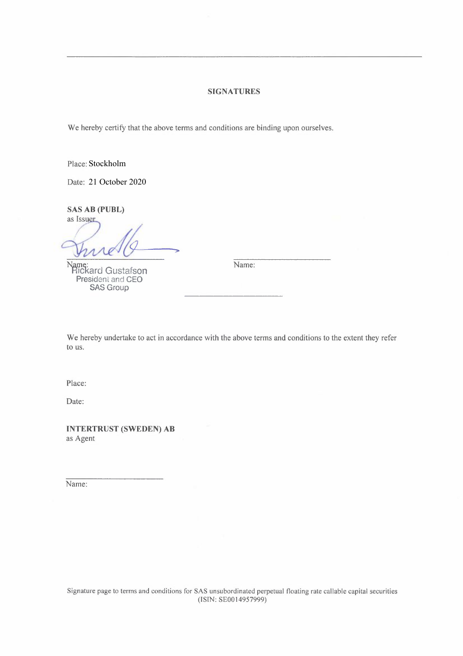## **SIGNATURES**

We hereby certify that the above terms and conditions are binding upon ourselves.

Place: Stockholm

Date: 21 October 2020

**SAS AB (PUBL)** 

as Issuer

"Ckard Gustafson President and CEO SAS Group

Name:

We hereby undertake to act in accordance with the above terms and conditions to the extent they refer to us.

Place:

Date:

**INTERTRUST (SWEDEN) AB**  as Agent

Name: